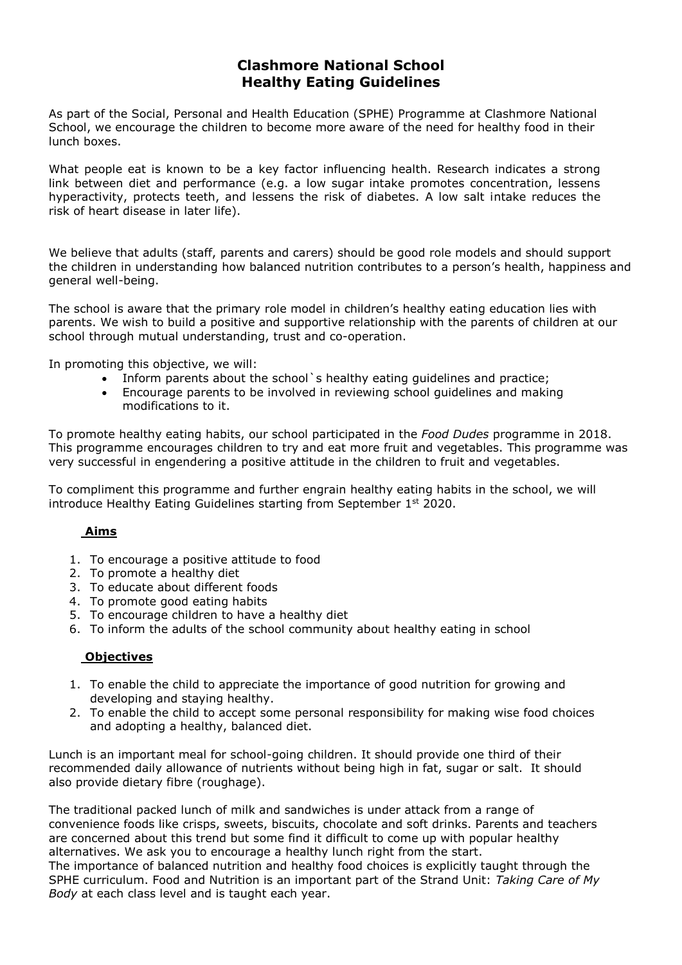# **Clashmore National School Healthy Eating Guidelines**

As part of the Social, Personal and Health Education (SPHE) Programme at Clashmore National School, we encourage the children to become more aware of the need for healthy food in their lunch boxes.

What people eat is known to be a key factor influencing health. Research indicates a strong link between diet and performance (e.g. a low sugar intake promotes concentration, lessens hyperactivity, protects teeth, and lessens the risk of diabetes. A low salt intake reduces the risk of heart disease in later life).

We believe that adults (staff, parents and carers) should be good role models and should support the children in understanding how balanced nutrition contributes to a person's health, happiness and general well-being.

The school is aware that the primary role model in children's healthy eating education lies with parents. We wish to build a positive and supportive relationship with the parents of children at our school through mutual understanding, trust and co-operation.

In promoting this objective, we will:

- Inform parents about the school's healthy eating guidelines and practice;
- Encourage parents to be involved in reviewing school guidelines and making modifications to it.

To promote healthy eating habits, our school participated in the *Food Dudes* programme in 2018. This programme encourages children to try and eat more fruit and vegetables. This programme was very successful in engendering a positive attitude in the children to fruit and vegetables.

To compliment this programme and further engrain healthy eating habits in the school, we will introduce Healthy Eating Guidelines starting from September  $1<sup>st</sup>$  2020.

## **Aims**

- 1. To encourage a positive attitude to food
- 2. To promote a healthy diet
- 3. To educate about different foods
- 4. To promote good eating habits
- 5. To encourage children to have a healthy diet
- 6. To inform the adults of the school community about healthy eating in school

## **Objectives**

- 1. To enable the child to appreciate the importance of good nutrition for growing and developing and staying healthy.
- 2. To enable the child to accept some personal responsibility for making wise food choices and adopting a healthy, balanced diet.

Lunch is an important meal for school-going children. It should provide one third of their recommended daily allowance of nutrients without being high in fat, sugar or salt. It should also provide dietary fibre (roughage).

The traditional packed lunch of milk and sandwiches is under attack from a range of convenience foods like crisps, sweets, biscuits, chocolate and soft drinks. Parents and teachers are concerned about this trend but some find it difficult to come up with popular healthy alternatives. We ask you to encourage a healthy lunch right from the start.

The importance of balanced nutrition and healthy food choices is explicitly taught through the SPHE curriculum. Food and Nutrition is an important part of the Strand Unit: *Taking Care of My Body* at each class level and is taught each year.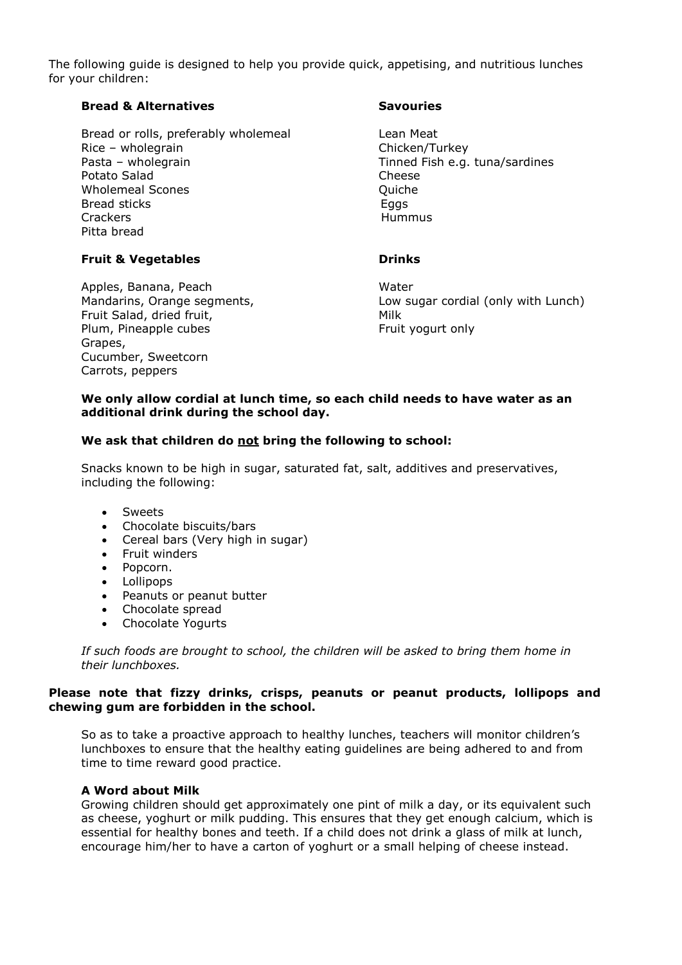The following guide is designed to help you provide quick, appetising, and nutritious lunches for your children:

### **Bread & Alternatives Savouries**

Bread or rolls, preferably wholemeal Lean Meat Rice – wholegrain Chicken/Turkey Pasta – wholegrain Tinned Fish e.g. tuna/sardines Potato Salad Cheese Wholemeal Scones **Quiche** Quiche Bread sticks Equation Control Equation Equation Equation Equation Equation Equation Equation Equation Equation Equation Equation Equation Equation Equation Equation Equation Equation Equation Equation Equation Equation Equ Crackers **Hummus** Pitta bread

#### **Fruit & Vegetables Drinks**

Apples, Banana, Peach Water Fruit Salad, dried fruit, The Milk Plum, Pineapple cubes Fruit yogurt only Grapes, Cucumber, Sweetcorn Carrots, peppers

Mandarins, Orange segments, Low sugar cordial (only with Lunch)

#### **We only allow cordial at lunch time, so each child needs to have water as an additional drink during the school day.**

#### **We ask that children do not bring the following to school:**

Snacks known to be high in sugar, saturated fat, salt, additives and preservatives, including the following:

- Sweets
- Chocolate biscuits/bars
- Cereal bars (Very high in sugar)
- Fruit winders
- Popcorn.
- Lollipops
- Peanuts or peanut butter
- Chocolate spread
- Chocolate Yogurts

*If such foods are brought to school, the children will be asked to bring them home in their lunchboxes.*

### **Please note that fizzy drinks, crisps, peanuts or peanut products, lollipops and chewing gum are forbidden in the school.**

So as to take a proactive approach to healthy lunches, teachers will monitor children's lunchboxes to ensure that the healthy eating guidelines are being adhered to and from time to time reward good practice.

#### **A Word about Milk**

Growing children should get approximately one pint of milk a day, or its equivalent such as cheese, yoghurt or milk pudding. This ensures that they get enough calcium, which is essential for healthy bones and teeth. If a child does not drink a glass of milk at lunch, encourage him/her to have a carton of yoghurt or a small helping of cheese instead.